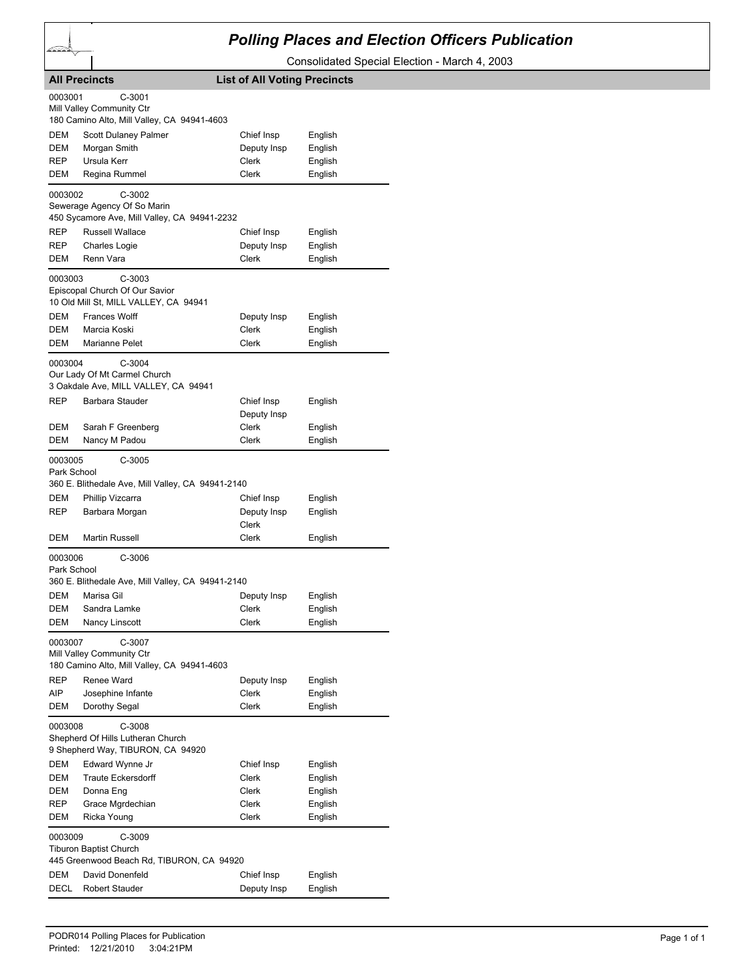## *Polling Places and Election Officers Publication*

Consolidated Special Election - March 4, 2003

| <b>List of All Voting Precincts</b><br><b>All Precincts</b>                                                                                                                                          |                                             |                      |         |  |  |  |
|------------------------------------------------------------------------------------------------------------------------------------------------------------------------------------------------------|---------------------------------------------|----------------------|---------|--|--|--|
| 0003001<br>$C-3001$<br>Mill Valley Community Ctr                                                                                                                                                     |                                             |                      |         |  |  |  |
|                                                                                                                                                                                                      | 180 Camino Alto, Mill Valley, CA 94941-4603 |                      |         |  |  |  |
| DEM                                                                                                                                                                                                  | Scott Dulaney Palmer                        | Chief Insp           | English |  |  |  |
| DEM                                                                                                                                                                                                  | Morgan Smith                                | Deputy Insp          | English |  |  |  |
| <b>REP</b>                                                                                                                                                                                           | Ursula Kerr                                 | Clerk                | English |  |  |  |
| DEM                                                                                                                                                                                                  | Regina Rummel                               | <b>Clerk</b>         | English |  |  |  |
| $C-3002$<br>0003002<br>Sewerage Agency Of So Marin<br>450 Sycamore Ave, Mill Valley, CA 94941-2232                                                                                                   |                                             |                      |         |  |  |  |
| REP                                                                                                                                                                                                  | Russell Wallace                             | Chief Insp           | English |  |  |  |
| REP                                                                                                                                                                                                  | <b>Charles Logie</b>                        | Deputy Insp          | English |  |  |  |
| DEM                                                                                                                                                                                                  | Renn Vara                                   | Clerk                | English |  |  |  |
| 0003003<br>$C-3003$<br>Episcopal Church Of Our Savior<br>10 Old Mill St, MILL VALLEY, CA 94941                                                                                                       |                                             |                      |         |  |  |  |
| DEM                                                                                                                                                                                                  | <b>Frances Wolff</b>                        | Deputy Insp          | English |  |  |  |
| DEM                                                                                                                                                                                                  | Marcia Koski                                | Clerk                | English |  |  |  |
| DEM                                                                                                                                                                                                  | Marianne Pelet                              | Clerk                | English |  |  |  |
| 0003004<br>$C-3004$<br>Our Lady Of Mt Carmel Church<br>3 Oakdale Ave, MILL VALLEY, CA 94941<br><b>REP</b><br>Barbara Stauder<br>Chief Insp<br>English                                                |                                             |                      |         |  |  |  |
|                                                                                                                                                                                                      |                                             | Deputy Insp          |         |  |  |  |
| DEM                                                                                                                                                                                                  | Sarah F Greenberg                           | Clerk                | English |  |  |  |
| DEM                                                                                                                                                                                                  | Nancy M Padou                               | <b>Clerk</b>         | English |  |  |  |
| $C-3005$<br>0003005<br>Park School<br>360 E. Blithedale Ave, Mill Valley, CA 94941-2140                                                                                                              |                                             |                      |         |  |  |  |
| DEM<br>REP                                                                                                                                                                                           | Phillip Vizcarra                            | Chief Insp           | English |  |  |  |
|                                                                                                                                                                                                      | Barbara Morgan                              | Deputy Insp<br>Clerk | English |  |  |  |
| DEM                                                                                                                                                                                                  | Martin Russell                              | Clerk                | English |  |  |  |
| C-3006<br>0003006<br>Park School<br>360 E. Blithedale Ave, Mill Valley, CA 94941-2140<br><b>DEM</b><br>Marisa Gil<br>Deputy Insp<br>English<br><b>DEM</b><br>Sandra Lamke<br><b>Clerk</b><br>English |                                             |                      |         |  |  |  |
| <b>DEM</b>                                                                                                                                                                                           | <b>Nancy Linscott</b>                       | Clerk                | English |  |  |  |
| C-3007<br>0003007<br>Mill Valley Community Ctr<br>180 Camino Alto, Mill Valley, CA 94941-4603<br>Renee Ward<br>REP<br>Deputy Insp<br>English                                                         |                                             |                      |         |  |  |  |
| <b>AIP</b>                                                                                                                                                                                           | Josephine Infante                           | Clerk                | English |  |  |  |
| DEM                                                                                                                                                                                                  | Dorothy Segal                               | <b>Clerk</b>         | English |  |  |  |
| C-3008<br>0003008<br>Shepherd Of Hills Lutheran Church<br>9 Shepherd Way, TIBURON, CA 94920                                                                                                          |                                             |                      |         |  |  |  |
| DEM                                                                                                                                                                                                  | Edward Wynne Jr                             | Chief Insp           | English |  |  |  |
| DEM                                                                                                                                                                                                  | <b>Traute Eckersdorff</b>                   | Clerk                | English |  |  |  |
| DEM                                                                                                                                                                                                  | Donna Eng                                   | Clerk                | English |  |  |  |
| <b>REP</b>                                                                                                                                                                                           | Grace Mgrdechian                            | Clerk                | English |  |  |  |
| DEM                                                                                                                                                                                                  | Ricka Young                                 | Clerk                | English |  |  |  |
| 0003009<br>C-3009<br><b>Tiburon Baptist Church</b><br>445 Greenwood Beach Rd, TIBURON, CA 94920                                                                                                      |                                             |                      |         |  |  |  |
| DEM                                                                                                                                                                                                  | David Donenfeld                             | Chief Insp           | English |  |  |  |
| DECL                                                                                                                                                                                                 | <b>Robert Stauder</b>                       | Deputy Insp          | English |  |  |  |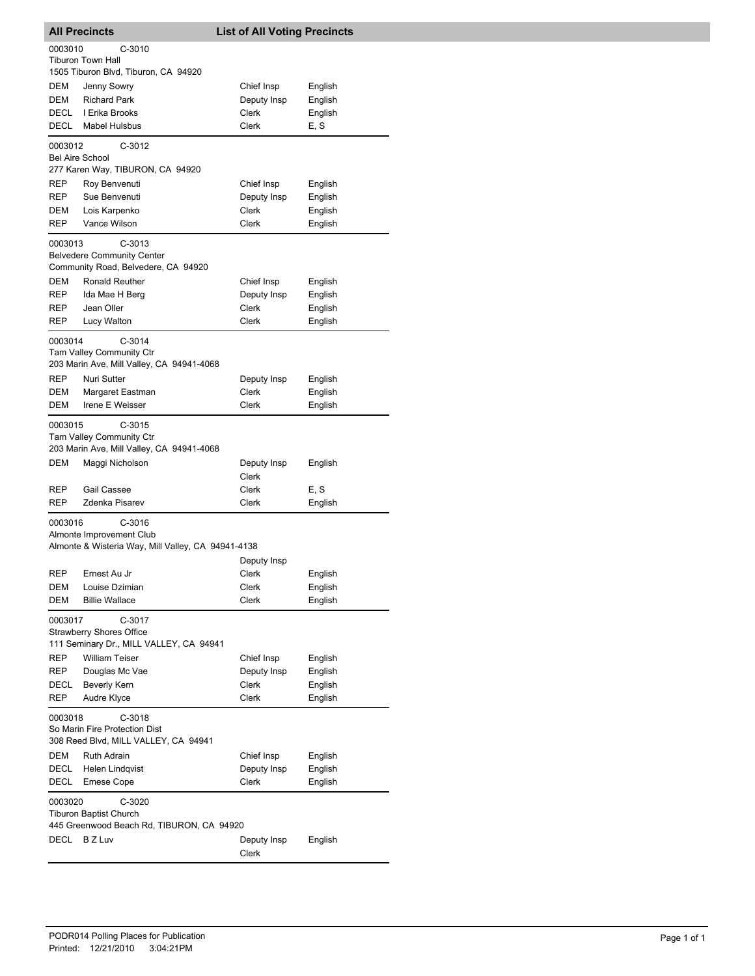| <b>All Precincts</b>                                                                                  |                                                                                                      | <b>List of All Voting Precincts</b> |                    |  |  |  |
|-------------------------------------------------------------------------------------------------------|------------------------------------------------------------------------------------------------------|-------------------------------------|--------------------|--|--|--|
| 0003010<br>$C-3010$<br><b>Tiburon Town Hall</b><br>1505 Tiburon Blvd, Tiburon, CA 94920               |                                                                                                      |                                     |                    |  |  |  |
| DEM                                                                                                   | Jenny Sowry                                                                                          | Chief Insp                          | English            |  |  |  |
| DEM                                                                                                   | <b>Richard Park</b>                                                                                  | Deputy Insp                         | English            |  |  |  |
| DECL                                                                                                  | I Erika Brooks                                                                                       | Clerk                               | English            |  |  |  |
| DECL                                                                                                  | <b>Mabel Hulsbus</b>                                                                                 | Clerk                               | E, S               |  |  |  |
| 0003012<br>$C-3012$<br><b>Bel Aire School</b>                                                         |                                                                                                      |                                     |                    |  |  |  |
|                                                                                                       | 277 Karen Way, TIBURON, CA 94920                                                                     |                                     |                    |  |  |  |
| REP<br>REP                                                                                            | Roy Benvenuti<br>Sue Benvenuti                                                                       | Chief Insp<br>Deputy Insp           | English            |  |  |  |
| DEM                                                                                                   | Lois Karpenko                                                                                        | Clerk                               | English<br>English |  |  |  |
| REP                                                                                                   | Vance Wilson                                                                                         | Clerk                               | English            |  |  |  |
| 0003013<br>$C-3013$<br><b>Belvedere Community Center</b><br>Community Road, Belvedere, CA 94920       |                                                                                                      |                                     |                    |  |  |  |
| DEM                                                                                                   | Ronald Reuther                                                                                       | Chief Insp                          | English            |  |  |  |
| <b>REP</b>                                                                                            | Ida Mae H Berg                                                                                       | Deputy Insp                         | English            |  |  |  |
| <b>REP</b>                                                                                            | Jean Oller                                                                                           | Clerk                               | English            |  |  |  |
| <b>REP</b>                                                                                            | Lucy Walton                                                                                          | Clerk                               | English            |  |  |  |
| 0003014<br>$C-3014$<br>Tam Valley Community Ctr<br>203 Marin Ave, Mill Valley, CA 94941-4068          |                                                                                                      |                                     |                    |  |  |  |
| REP                                                                                                   | Nuri Sutter                                                                                          | Deputy Insp                         | English            |  |  |  |
| DEM                                                                                                   | Margaret Eastman                                                                                     | Clerk                               | English            |  |  |  |
| DEM                                                                                                   | Irene E Weisser                                                                                      | Clerk                               | English            |  |  |  |
| 0003015<br>DEM                                                                                        | $C-3015$<br>Tam Valley Community Ctr<br>203 Marin Ave, Mill Valley, CA 94941-4068<br>Maggi Nicholson | Deputy Insp                         | English            |  |  |  |
|                                                                                                       |                                                                                                      | Clerk                               |                    |  |  |  |
| REP                                                                                                   | Gail Cassee<br>Zdenka Pisarev                                                                        | Clerk<br>Clerk                      | E, S               |  |  |  |
| REP                                                                                                   |                                                                                                      |                                     | English            |  |  |  |
| $C-3016$<br>0003016<br>Almonte Improvement Club<br>Almonte & Wisteria Way, Mill Valley, CA 94941-4138 |                                                                                                      |                                     |                    |  |  |  |
| <b>REP</b>                                                                                            | Ernest Au Jr                                                                                         | Deputy Insp<br>Clerk                |                    |  |  |  |
| DEM                                                                                                   | Louise Dzimian                                                                                       | Clerk                               | English<br>English |  |  |  |
| DEM                                                                                                   | <b>Billie Wallace</b>                                                                                | Clerk                               | English            |  |  |  |
| 0003017<br>$C-3017$<br><b>Strawberry Shores Office</b><br>111 Seminary Dr., MILL VALLEY, CA 94941     |                                                                                                      |                                     |                    |  |  |  |
| REP                                                                                                   | <b>William Teiser</b>                                                                                | Chief Insp                          | English            |  |  |  |
| REP                                                                                                   | Douglas Mc Vae                                                                                       | Deputy Insp                         | English            |  |  |  |
| DECL                                                                                                  | <b>Beverly Kern</b>                                                                                  | Clerk                               | English            |  |  |  |
| REP                                                                                                   | Audre Klyce                                                                                          | Clerk                               | English            |  |  |  |
| $C-3018$<br>0003018<br>So Marin Fire Protection Dist<br>308 Reed Blvd, MILL VALLEY, CA 94941          |                                                                                                      |                                     |                    |  |  |  |
| DEM                                                                                                   | Ruth Adrain                                                                                          | Chief Insp                          | English            |  |  |  |
| DECL                                                                                                  | Helen Lindqvist                                                                                      | Deputy Insp                         | English            |  |  |  |
| DECL                                                                                                  | <b>Emese Cope</b>                                                                                    | Clerk                               | English            |  |  |  |
| 0003020<br>$C-3020$<br><b>Tiburon Baptist Church</b><br>445 Greenwood Beach Rd, TIBURON, CA 94920     |                                                                                                      |                                     |                    |  |  |  |
| DECL                                                                                                  | B Z Luv                                                                                              | Deputy Insp<br>Clerk                | English            |  |  |  |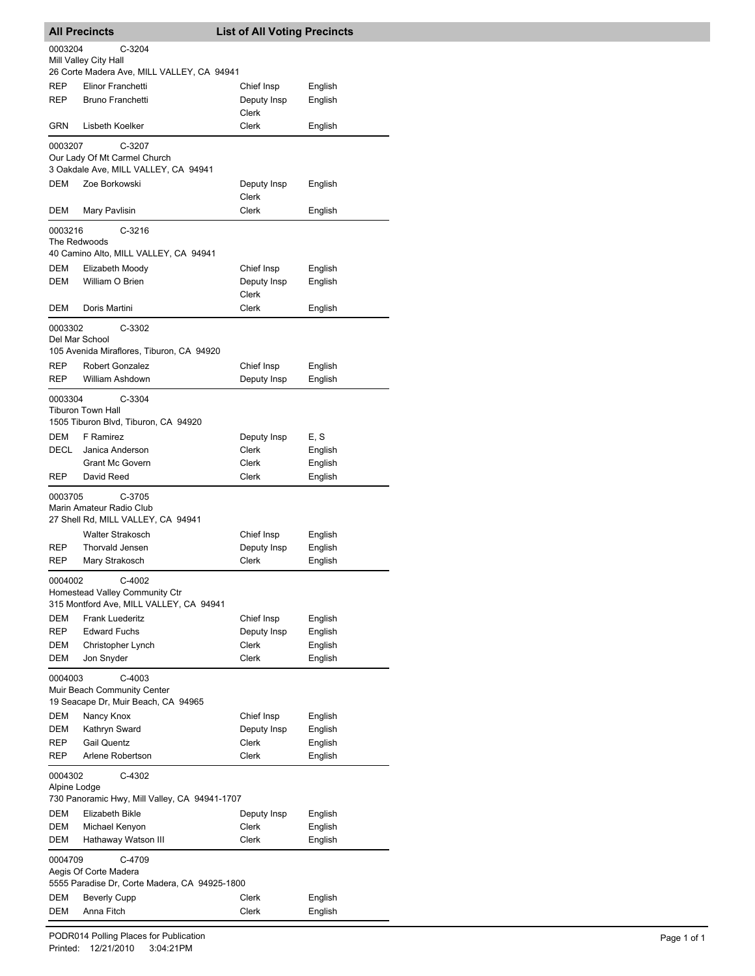| <b>All Precincts</b>                                                |                                                                | <b>List of All Voting Precincts</b> |                    |  |  |  |
|---------------------------------------------------------------------|----------------------------------------------------------------|-------------------------------------|--------------------|--|--|--|
| 0003204<br>C-3204                                                   |                                                                |                                     |                    |  |  |  |
| Mill Valley City Hall<br>26 Corte Madera Ave, MILL VALLEY, CA 94941 |                                                                |                                     |                    |  |  |  |
| <b>REP</b>                                                          | Elinor Franchetti                                              | Chief Insp                          | English            |  |  |  |
| REP                                                                 | <b>Bruno Franchetti</b>                                        | Deputy Insp                         | English            |  |  |  |
|                                                                     |                                                                | Clerk                               |                    |  |  |  |
| GRN                                                                 | Lisbeth Koelker                                                | Clerk                               | English            |  |  |  |
| 0003207                                                             | $C-3207$                                                       |                                     |                    |  |  |  |
|                                                                     | Our Lady Of Mt Carmel Church                                   |                                     |                    |  |  |  |
| <b>DEM</b>                                                          | 3 Oakdale Ave, MILL VALLEY, CA 94941<br>Zoe Borkowski          |                                     | English            |  |  |  |
|                                                                     |                                                                | Deputy Insp<br>Clerk                |                    |  |  |  |
| DEM                                                                 | Mary Pavlisin                                                  | Clerk                               | English            |  |  |  |
| 0003216                                                             | $C-3216$                                                       |                                     |                    |  |  |  |
| The Redwoods                                                        |                                                                |                                     |                    |  |  |  |
|                                                                     | 40 Camino Alto, MILL VALLEY, CA 94941                          |                                     |                    |  |  |  |
| DEM<br>DEM                                                          | Elizabeth Moody<br>William O Brien                             | Chief Insp<br>Deputy Insp           | English<br>English |  |  |  |
|                                                                     |                                                                | Clerk                               |                    |  |  |  |
| DEM                                                                 | Doris Martini                                                  | Clerk                               | English            |  |  |  |
| 0003302                                                             | C-3302                                                         |                                     |                    |  |  |  |
| Del Mar School                                                      |                                                                |                                     |                    |  |  |  |
|                                                                     | 105 Avenida Miraflores, Tiburon, CA 94920                      |                                     |                    |  |  |  |
| REP                                                                 | <b>Robert Gonzalez</b>                                         | Chief Insp                          | English            |  |  |  |
| REP                                                                 | William Ashdown                                                | Deputy Insp                         | English            |  |  |  |
| 0003304                                                             | C-3304<br><b>Tiburon Town Hall</b>                             |                                     |                    |  |  |  |
|                                                                     | 1505 Tiburon Blvd, Tiburon, CA 94920                           |                                     |                    |  |  |  |
| DEM                                                                 | F Ramirez                                                      | Deputy Insp                         | E, S               |  |  |  |
| DECL                                                                | Janica Anderson                                                | Clerk                               | English            |  |  |  |
|                                                                     | <b>Grant Mc Govern</b>                                         | Clerk                               | English            |  |  |  |
| REP                                                                 | David Reed                                                     | Clerk                               | English            |  |  |  |
| 0003705                                                             | C-3705                                                         |                                     |                    |  |  |  |
|                                                                     | Marin Amateur Radio Club<br>27 Shell Rd, MILL VALLEY, CA 94941 |                                     |                    |  |  |  |
|                                                                     | <b>Walter Strakosch</b>                                        | Chief Insp                          | English            |  |  |  |
| <b>REP</b>                                                          | <b>Thorvald Jensen</b>                                         | Deputy Insp                         | English            |  |  |  |
| REP                                                                 | Mary Strakosch                                                 | Clerk                               | English            |  |  |  |
| 0004002                                                             | C-4002                                                         |                                     |                    |  |  |  |
|                                                                     | Homestead Valley Community Ctr                                 |                                     |                    |  |  |  |
|                                                                     | 315 Montford Ave, MILL VALLEY, CA 94941                        |                                     |                    |  |  |  |
| <b>DEM</b>                                                          | <b>Frank Luederitz</b>                                         | Chief Insp                          | English            |  |  |  |
| REP<br>DEM                                                          | <b>Edward Fuchs</b>                                            | Deputy Insp<br>Clerk                | English<br>English |  |  |  |
| DEM                                                                 | Christopher Lynch<br>Jon Snyder                                | Clerk                               | English            |  |  |  |
|                                                                     |                                                                |                                     |                    |  |  |  |
| 0004003                                                             | $C-4003$<br>Muir Beach Community Center                        |                                     |                    |  |  |  |
|                                                                     | 19 Seacape Dr, Muir Beach, CA 94965                            |                                     |                    |  |  |  |
| DEM                                                                 | Nancy Knox                                                     | Chief Insp                          | English            |  |  |  |
| <b>DEM</b>                                                          | Kathryn Sward                                                  | Deputy Insp                         | English            |  |  |  |
| REP<br>REP                                                          | <b>Gail Quentz</b><br>Arlene Robertson                         | Clerk<br>Clerk                      | English            |  |  |  |
|                                                                     |                                                                |                                     | English            |  |  |  |
| 0004302                                                             | C-4302                                                         |                                     |                    |  |  |  |
| Alpine Lodge<br>730 Panoramic Hwy, Mill Valley, CA 94941-1707       |                                                                |                                     |                    |  |  |  |
| DEM                                                                 | Elizabeth Bikle                                                | Deputy Insp                         | English            |  |  |  |
| DEM                                                                 | Michael Kenyon                                                 | Clerk                               | English            |  |  |  |
| DEM                                                                 | Hathaway Watson III                                            | Clerk                               | English            |  |  |  |
| 0004709                                                             | C-4709                                                         |                                     |                    |  |  |  |
| Aegis Of Corte Madera                                               |                                                                |                                     |                    |  |  |  |
| 5555 Paradise Dr, Corte Madera, CA 94925-1800                       |                                                                |                                     |                    |  |  |  |
| DEM<br>DEM                                                          | <b>Beverly Cupp</b><br>Anna Fitch                              | Clerk<br>Clerk                      | English<br>English |  |  |  |
|                                                                     |                                                                |                                     |                    |  |  |  |